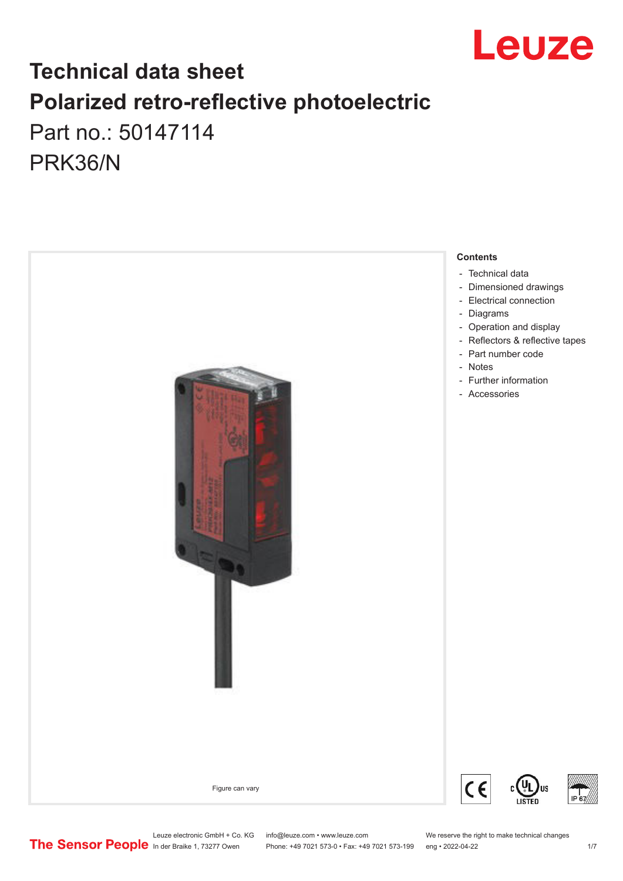

## **Technical data sheet Polarized retro-reflective photoelectric**  Part no.: 50147114

PRK36/N



Leuze electronic GmbH + Co. KG info@leuze.com • www.leuze.com We reserve the right to make technical changes<br>
The Sensor People in der Braike 1, 73277 Owen Phone: +49 7021 573-0 • Fax: +49 7021 573-199 eng • 2022-04-22

Phone: +49 7021 573-0 • Fax: +49 7021 573-199 eng • 2022-04-22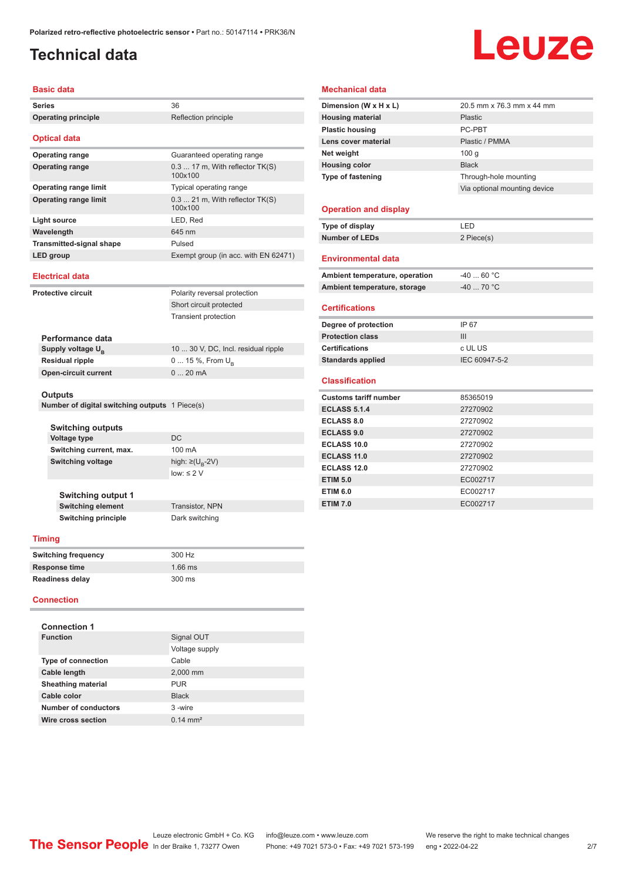## <span id="page-1-0"></span>**Technical data**

# Leuze

#### **Basic data**

| Dasit uala                                     |                                              |
|------------------------------------------------|----------------------------------------------|
| <b>Series</b>                                  | 36                                           |
| <b>Operating principle</b>                     | Reflection principle                         |
| <b>Optical data</b>                            |                                              |
| <b>Operating range</b>                         | Guaranteed operating range                   |
| <b>Operating range</b>                         | $0.317$ m, With reflector $TK(S)$<br>100x100 |
| <b>Operating range limit</b>                   | Typical operating range                      |
| <b>Operating range limit</b>                   | $0.321$ m, With reflector $TK(S)$<br>100x100 |
| <b>Light source</b>                            | LED, Red                                     |
| Wavelength                                     | 645 nm                                       |
| <b>Transmitted-signal shape</b>                | Pulsed                                       |
| LED group                                      | Exempt group (in acc. with EN 62471)         |
| <b>Electrical data</b>                         |                                              |
| <b>Protective circuit</b>                      | Polarity reversal protection                 |
|                                                | Short circuit protected                      |
|                                                | <b>Transient protection</b>                  |
|                                                |                                              |
| Performance data                               |                                              |
| Supply voltage U <sub>B</sub>                  | 10  30 V, DC, Incl. residual ripple          |
| <b>Residual ripple</b>                         | 0  15 %, From $U_{B}$                        |
| <b>Open-circuit current</b>                    | 020mA                                        |
|                                                |                                              |
| Outputs                                        |                                              |
| Number of digital switching outputs 1 Piece(s) |                                              |
| Switching outputs                              |                                              |
| <b>Voltage type</b>                            | DC                                           |
| Switching current, max.                        | 100 mA                                       |
| <b>Switching voltage</b>                       | high: ≥( $U_{\rm R}$ -2V)                    |
|                                                | $low: \leq 2$ V                              |
| <b>Switching output 1</b>                      |                                              |
| <b>Switching element</b>                       | Transistor, NPN                              |
| <b>Switching principle</b>                     | Dark switching                               |
| Timing                                         |                                              |
|                                                |                                              |
| <b>Switching frequency</b>                     | 300 Hz                                       |
| <b>Response time</b>                           | 1.66 ms                                      |
| <b>Readiness delay</b>                         | 300 ms                                       |
| <b>Connection</b>                              |                                              |
| <b>Connection 1</b>                            |                                              |
| <b>Function</b>                                | Signal OUT                                   |
|                                                | Voltage supply                               |
| <b>Type of connection</b>                      | Cable                                        |
| Cable length                                   | 2,000 mm                                     |

#### **Mechanical data Dimension (W x H x L)** 20.5 mm x 76.3 mm x 44 mm **Housing material** Plastic **Plastic housing** PC-PBT Lens cover material **Plastic / PMMA Net weight** 100 g **Housing color Black Type of fastening** Through-hole mounting Via optional mounting device **Operation and display Type of display** LED **Number of LEDs** 2 Piece(s)

#### **Environmental data**

| Ambient temperature, operation | $-4060 °C$  |
|--------------------------------|-------------|
| Ambient temperature, storage   | $-40$ 70 °C |
|                                |             |

#### **Certifications**

| Degree of protection     | IP 67         |
|--------------------------|---------------|
| <b>Protection class</b>  | Ш             |
| <b>Certifications</b>    | c UL US       |
| <b>Standards applied</b> | IEC 60947-5-2 |

#### **Classification**

| <b>Customs tariff number</b> | 85365019 |  |
|------------------------------|----------|--|
| <b>ECLASS 5.1.4</b>          | 27270902 |  |
| <b>ECLASS 8.0</b>            | 27270902 |  |
| <b>ECLASS 9.0</b>            | 27270902 |  |
| ECLASS 10.0                  | 27270902 |  |
| <b>ECLASS 11.0</b>           | 27270902 |  |
| ECLASS 12.0                  | 27270902 |  |
| <b>ETIM 5.0</b>              | EC002717 |  |
| <b>ETIM 6.0</b>              | EC002717 |  |
| <b>ETIM 7.0</b>              | EC002717 |  |

**Sheathing material** PUR **Cable color** Black **Number of conductors** 3 -wire **Wire cross section** 0.14 mm<sup>2</sup>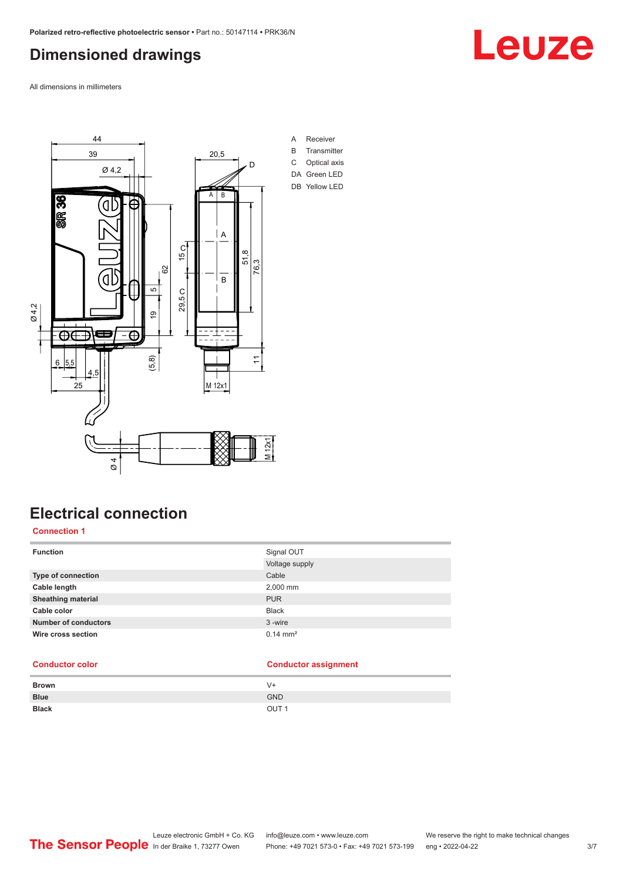## <span id="page-2-0"></span>**Dimensioned drawings**

All dimensions in millimeters



## **Electrical connection**

#### **Connection 1**

| <b>Function</b>             | Signal OUT          |
|-----------------------------|---------------------|
|                             | Voltage supply      |
| Type of connection          | Cable               |
| Cable length                | 2,000 mm            |
| <b>Sheathing material</b>   | <b>PUR</b>          |
| Cable color                 | <b>Black</b>        |
| <b>Number of conductors</b> | 3-wire              |
| Wire cross section          | $0.14 \text{ mm}^2$ |

#### **Conductor color Conductor assignment**

| <b>Brown</b> | V+               |
|--------------|------------------|
| <b>Blue</b>  | <b>GND</b>       |
| <b>Black</b> | OUT <sub>1</sub> |

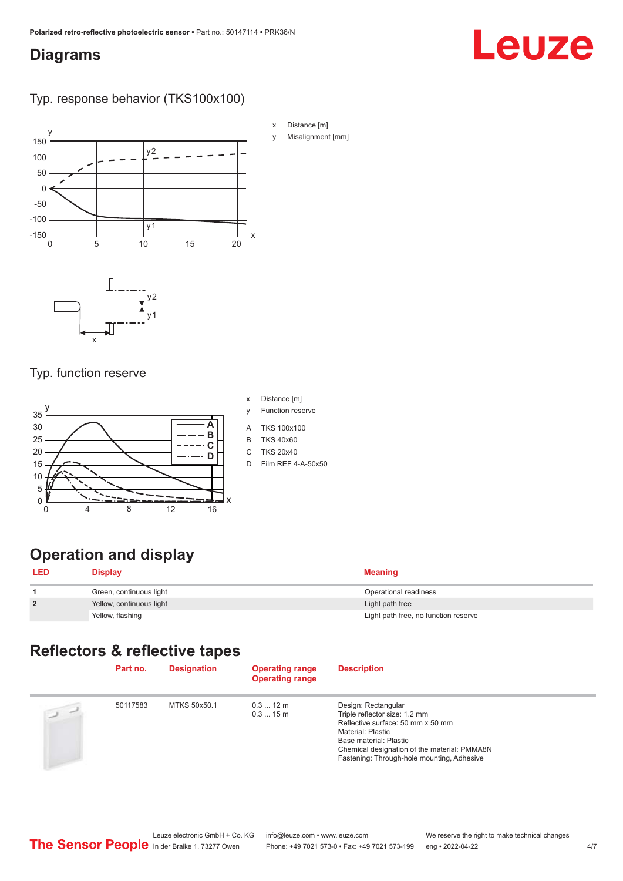#### <span id="page-3-0"></span>**Diagrams**

# Leuze

#### Typ. response behavior (TKS100x100)



#### Typ. function reserve



- x Distance [m]
- y Function reserve
- A TKS 100x100
- B TKS 40x60
- C TKS 20x40
- D Film REF 4-A-50x50

## **Operation and display**

| <b>LED</b>     | <b>Display</b>           | <b>Meaning</b>                       |
|----------------|--------------------------|--------------------------------------|
|                | Green, continuous light  | Operational readiness                |
| $\overline{2}$ | Yellow, continuous light | Light path free                      |
|                | Yellow, flashing         | Light path free, no function reserve |

### **Reflectors & reflective tapes**

|                | Part no. | <b>Designation</b> | <b>Operating range</b><br><b>Operating range</b> | <b>Description</b>                                                                                                                                                                                                                     |
|----------------|----------|--------------------|--------------------------------------------------|----------------------------------------------------------------------------------------------------------------------------------------------------------------------------------------------------------------------------------------|
| $\overline{2}$ | 50117583 | MTKS 50x50.1       | $0.312 \text{ m}$<br>0.315m                      | Design: Rectangular<br>Triple reflector size: 1.2 mm<br>Reflective surface: 50 mm x 50 mm<br>Material: Plastic<br>Base material: Plastic<br>Chemical designation of the material: PMMA8N<br>Fastening: Through-hole mounting, Adhesive |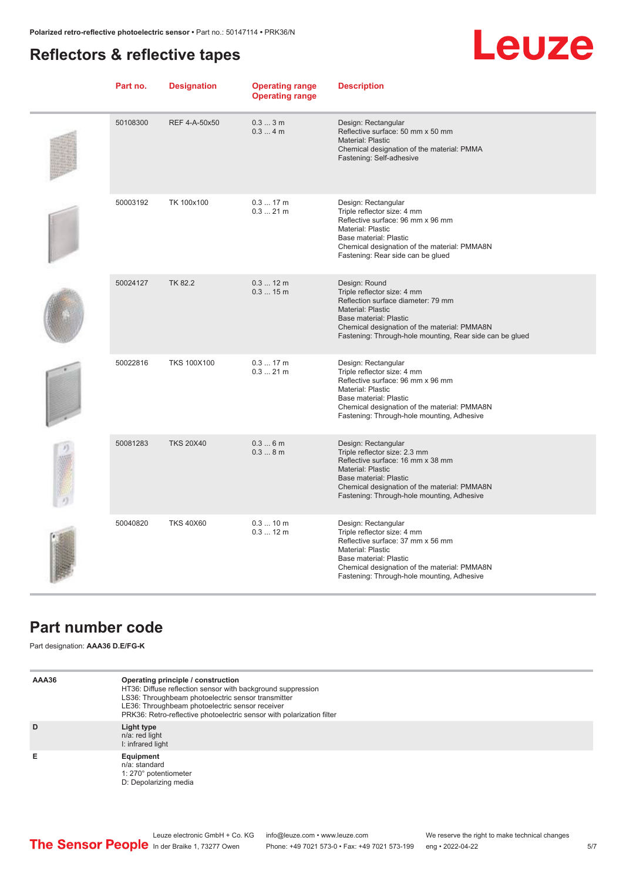### <span id="page-4-0"></span>**Reflectors & reflective tapes**

## **Leuze**

| Part no. | <b>Designation</b> | <b>Operating range</b><br><b>Operating range</b> | <b>Description</b>                                                                                                                                                                                                                            |
|----------|--------------------|--------------------------------------------------|-----------------------------------------------------------------------------------------------------------------------------------------------------------------------------------------------------------------------------------------------|
| 50108300 | REF 4-A-50x50      | 0.33m<br>0.34m                                   | Design: Rectangular<br>Reflective surface: 50 mm x 50 mm<br>Material: Plastic<br>Chemical designation of the material: PMMA<br>Fastening: Self-adhesive                                                                                       |
| 50003192 | TK 100x100         | $0.317$ m<br>$0.321$ m                           | Design: Rectangular<br>Triple reflector size: 4 mm<br>Reflective surface: 96 mm x 96 mm<br>Material: Plastic<br>Base material: Plastic<br>Chemical designation of the material: PMMA8N<br>Fastening: Rear side can be glued                   |
| 50024127 | <b>TK 82.2</b>     | $0.312 \text{ m}$<br>0.315m                      | Design: Round<br>Triple reflector size: 4 mm<br>Reflection surface diameter: 79 mm<br>Material: Plastic<br>Base material: Plastic<br>Chemical designation of the material: PMMA8N<br>Fastening: Through-hole mounting, Rear side can be glued |
| 50022816 | <b>TKS 100X100</b> | $0.317$ m<br>$0.321$ m                           | Design: Rectangular<br>Triple reflector size: 4 mm<br>Reflective surface: 96 mm x 96 mm<br>Material: Plastic<br>Base material: Plastic<br>Chemical designation of the material: PMMA8N<br>Fastening: Through-hole mounting, Adhesive          |
| 50081283 | <b>TKS 20X40</b>   | 0.36m<br>0.38m                                   | Design: Rectangular<br>Triple reflector size: 2.3 mm<br>Reflective surface: 16 mm x 38 mm<br><b>Material: Plastic</b><br>Base material: Plastic<br>Chemical designation of the material: PMMA8N<br>Fastening: Through-hole mounting, Adhesive |
| 50040820 | <b>TKS 40X60</b>   | 0.310 m<br>$0.312 \text{ m}$                     | Design: Rectangular<br>Triple reflector size: 4 mm<br>Reflective surface: 37 mm x 56 mm<br>Material: Plastic<br>Base material: Plastic<br>Chemical designation of the material: PMMA8N<br>Fastening: Through-hole mounting, Adhesive          |

### **Part number code**

Part designation: **AAA36 D.E/FG-K**

| AAA36 | Operating principle / construction<br>HT36: Diffuse reflection sensor with background suppression<br>LS36: Throughbeam photoelectric sensor transmitter<br>LE36: Throughbeam photoelectric sensor receiver<br>PRK36: Retro-reflective photoelectric sensor with polarization filter |
|-------|-------------------------------------------------------------------------------------------------------------------------------------------------------------------------------------------------------------------------------------------------------------------------------------|
| D     | Light type<br>n/a: red light<br>I: infrared light                                                                                                                                                                                                                                   |
| Е     | Equipment<br>n/a: standard<br>1: 270° potentiometer<br>D: Depolarizing media                                                                                                                                                                                                        |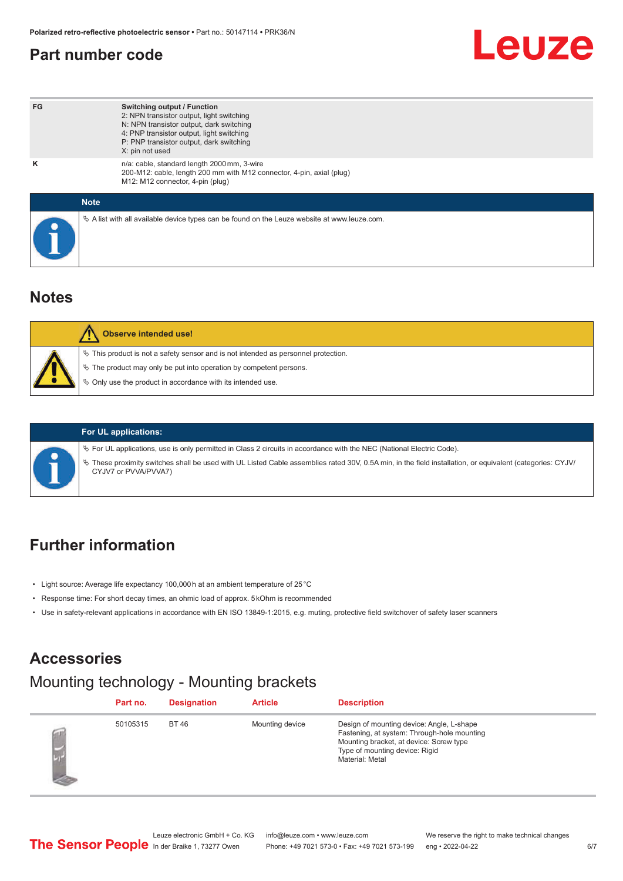### <span id="page-5-0"></span>**Part number code**

# Leuze

| FG          | <b>Switching output / Function</b><br>2: NPN transistor output, light switching<br>N: NPN transistor output, dark switching<br>4: PNP transistor output, light switching<br>P: PNP transistor output, dark switching<br>X: pin not used |
|-------------|-----------------------------------------------------------------------------------------------------------------------------------------------------------------------------------------------------------------------------------------|
| ĸ           | n/a: cable, standard length 2000 mm, 3-wire<br>200-M12: cable, length 200 mm with M12 connector, 4-pin, axial (plug)<br>M12: M12 connector, 4-pin (plug)                                                                                |
| <b>Note</b> |                                                                                                                                                                                                                                         |
|             | $\&$ A list with all available device types can be found on the Leuze website at www.leuze.com.                                                                                                                                         |

#### **Notes**

| <b>Observe intended use!</b>                                                                                                                                                                                                  |
|-------------------------------------------------------------------------------------------------------------------------------------------------------------------------------------------------------------------------------|
| $\%$ This product is not a safety sensor and is not intended as personnel protection.<br>$\&$ The product may only be put into operation by competent persons.<br>♦ Only use the product in accordance with its intended use. |



#### **For UL applications:**

ª For UL applications, use is only permitted in Class 2 circuits in accordance with the NEC (National Electric Code).

ª These proximity switches shall be used with UL Listed Cable assemblies rated 30V, 0.5A min, in the field installation, or equivalent (categories: CYJV/ CYJV7 or PVVA/PVVA7)

## **Further information**

- Light source: Average life expectancy 100,000 h at an ambient temperature of 25 °C
- Response time: For short decay times, an ohmic load of approx. 5 kOhm is recommended
- Use in safety-relevant applications in accordance with EN ISO 13849-1:2015, e.g. muting, protective field switchover of safety laser scanners

#### **Accessories**

#### Mounting technology - Mounting brackets

| Part no. | <b>Designation</b> | <b>Article</b>  | <b>Description</b>                                                                                                                                                                       |
|----------|--------------------|-----------------|------------------------------------------------------------------------------------------------------------------------------------------------------------------------------------------|
| 50105315 | <b>BT46</b>        | Mounting device | Design of mounting device: Angle, L-shape<br>Fastening, at system: Through-hole mounting<br>Mounting bracket, at device: Screw type<br>Type of mounting device: Rigid<br>Material: Metal |